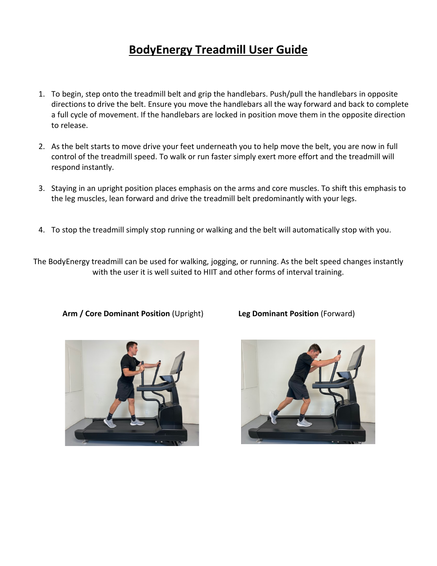# **BodyEnergy Treadmill User Guide**

- 1. To begin, step onto the treadmill belt and grip the handlebars. Push/pull the handlebars in opposite directions to drive the belt. Ensure you move the handlebars all the way forward and back to complete a full cycle of movement. If the handlebars are locked in position move them in the opposite direction to release.
- 2. As the belt starts to move drive your feet underneath you to help move the belt, you are now in full control of the treadmill speed. To walk or run faster simply exert more effort and the treadmill will respond instantly.
- 3. Staying in an upright position places emphasis on the arms and core muscles. To shift this emphasis to the leg muscles, lean forward and drive the treadmill belt predominantly with your legs.
- 4. To stop the treadmill simply stop running or walking and the belt will automatically stop with you.

The BodyEnergy treadmill can be used for walking, jogging, or running. As the belt speed changes instantly with the user it is well suited to HIIT and other forms of interval training.



 **Arm / Core Dominant Position** (Upright) **Leg Dominant Position** (Forward)

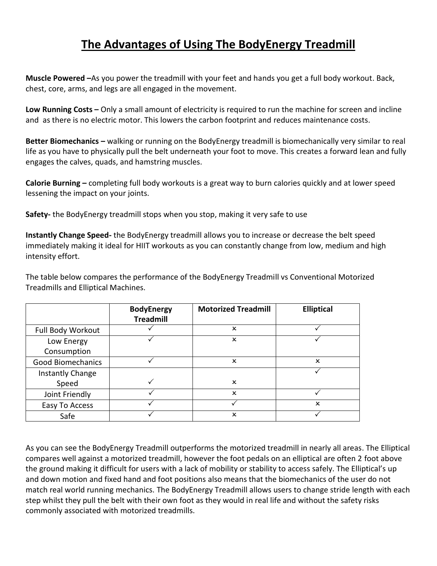## **The Advantages of Using The BodyEnergy Treadmill**

**Muscle Powered –**As you power the treadmill with your feet and hands you get a full body workout. Back, chest, core, arms, and legs are all engaged in the movement.

**Low Running Costs –** Only a small amount of electricity is required to run the machine for screen and incline and as there is no electric motor. This lowers the carbon footprint and reduces maintenance costs.

**Better Biomechanics –** walking or running on the BodyEnergy treadmill is biomechanically very similar to real life as you have to physically pull the belt underneath your foot to move. This creates a forward lean and fully engages the calves, quads, and hamstring muscles.

**Calorie Burning –** completing full body workouts is a great way to burn calories quickly and at lower speed lessening the impact on your joints.

**Safety-** the BodyEnergy treadmill stops when you stop, making it very safe to use

**Instantly Change Speed-** the BodyEnergy treadmill allows you to increase or decrease the belt speed immediately making it ideal for HIIT workouts as you can constantly change from low, medium and high intensity effort.

The table below compares the performance of the BodyEnergy Treadmill vs Conventional Motorized Treadmills and Elliptical Machines.

|                          | <b>BodyEnergy</b> | <b>Motorized Treadmill</b> | <b>Elliptical</b>         |
|--------------------------|-------------------|----------------------------|---------------------------|
|                          | <b>Treadmill</b>  |                            |                           |
| Full Body Workout        |                   | x                          |                           |
| Low Energy               |                   | ×                          |                           |
| Consumption              |                   |                            |                           |
| <b>Good Biomechanics</b> |                   | x                          | $\mathsf{x}$              |
| Instantly Change         |                   |                            |                           |
| Speed                    |                   | $\boldsymbol{\mathsf{x}}$  |                           |
| Joint Friendly           |                   | $\boldsymbol{\mathsf{x}}$  |                           |
| Easy To Access           |                   |                            | $\boldsymbol{\mathsf{x}}$ |
| Safe                     |                   | $\mathsf{x}$               |                           |

As you can see the BodyEnergy Treadmill outperforms the motorized treadmill in nearly all areas. The Elliptical compares well against a motorized treadmill, however the foot pedals on an elliptical are often 2 foot above the ground making it difficult for users with a lack of mobility or stability to access safely. The Elliptical's up and down motion and fixed hand and foot positions also means that the biomechanics of the user do not match real world running mechanics. The BodyEnergy Treadmill allows users to change stride length with each step whilst they pull the belt with their own foot as they would in real life and without the safety risks commonly associated with motorized treadmills.